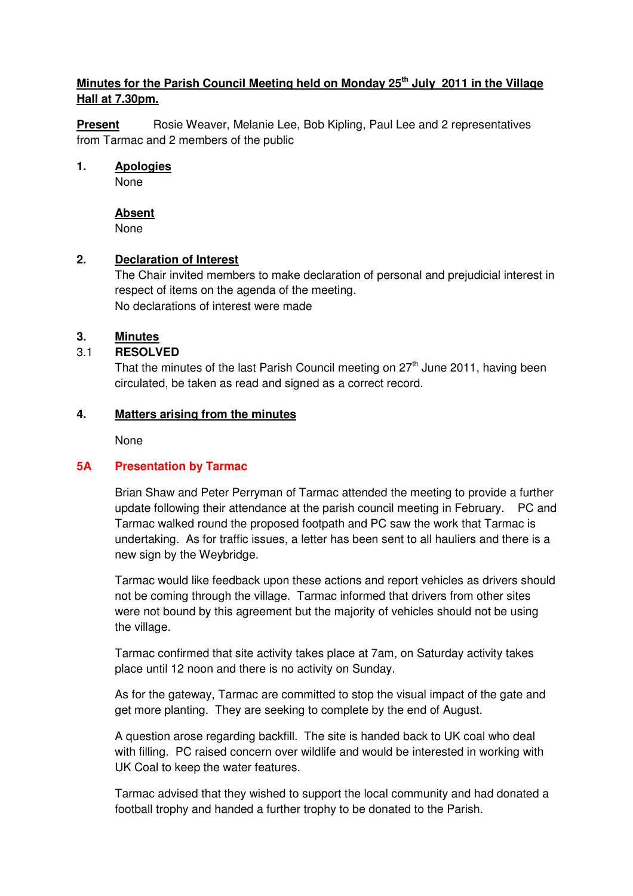# **Minutes for the Parish Council Meeting held on Monday 25th July 2011 in the Village Hall at 7.30pm.**

**Present** Rosie Weaver, Melanie Lee, Bob Kipling, Paul Lee and 2 representatives from Tarmac and 2 members of the public

#### **1. Apologies**

None

## **Absent**

None

## **2. Declaration of Interest**

The Chair invited members to make declaration of personal and prejudicial interest in respect of items on the agenda of the meeting. No declarations of interest were made

#### **3. Minutes**

## 3.1 **RESOLVED**

That the minutes of the last Parish Council meeting on  $27<sup>th</sup>$  June 2011, having been circulated, be taken as read and signed as a correct record.

#### **4. Matters arising from the minutes**

None

## **5A Presentation by Tarmac**

Brian Shaw and Peter Perryman of Tarmac attended the meeting to provide a further update following their attendance at the parish council meeting in February. PC and Tarmac walked round the proposed footpath and PC saw the work that Tarmac is undertaking. As for traffic issues, a letter has been sent to all hauliers and there is a new sign by the Weybridge.

 Tarmac would like feedback upon these actions and report vehicles as drivers should not be coming through the village. Tarmac informed that drivers from other sites were not bound by this agreement but the majority of vehicles should not be using the village.

 Tarmac confirmed that site activity takes place at 7am, on Saturday activity takes place until 12 noon and there is no activity on Sunday.

 As for the gateway, Tarmac are committed to stop the visual impact of the gate and get more planting. They are seeking to complete by the end of August.

 A question arose regarding backfill. The site is handed back to UK coal who deal with filling. PC raised concern over wildlife and would be interested in working with UK Coal to keep the water features.

 Tarmac advised that they wished to support the local community and had donated a football trophy and handed a further trophy to be donated to the Parish.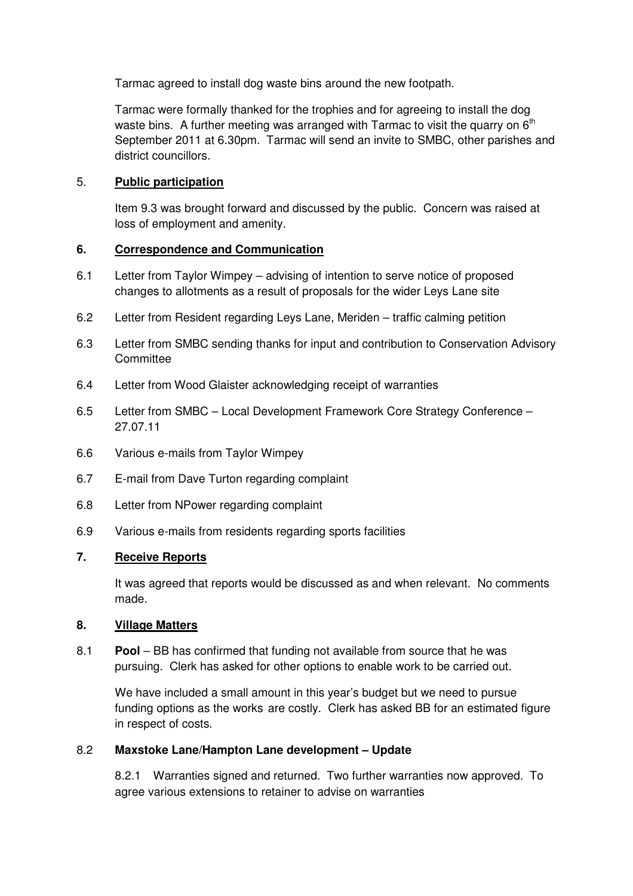Tarmac agreed to install dog waste bins around the new footpath.

 Tarmac were formally thanked for the trophies and for agreeing to install the dog waste bins. A further meeting was arranged with Tarmac to visit the quarry on 6<sup>th</sup> September 2011 at 6.30pm. Tarmac will send an invite to SMBC, other parishes and district councillors.

#### 5. **Public participation**

 Item 9.3 was brought forward and discussed by the public. Concern was raised at loss of employment and amenity.

#### **6. Correspondence and Communication**

- 6.1 Letter from Taylor Wimpey advising of intention to serve notice of proposed changes to allotments as a result of proposals for the wider Leys Lane site
- 6.2 Letter from Resident regarding Leys Lane, Meriden traffic calming petition
- 6.3 Letter from SMBC sending thanks for input and contribution to Conservation Advisory **Committee**
- 6.4 Letter from Wood Glaister acknowledging receipt of warranties
- 6.5 Letter from SMBC Local Development Framework Core Strategy Conference 27.07.11
- 6.6 Various e-mails from Taylor Wimpey
- 6.7 E-mail from Dave Turton regarding complaint
- 6.8 Letter from NPower regarding complaint
- 6.9 Various e-mails from residents regarding sports facilities

#### **7. Receive Reports**

 It was agreed that reports would be discussed as and when relevant. No comments made.

#### **8. Village Matters**

8.1 **Pool** – BB has confirmed that funding not available from source that he was pursuing. Clerk has asked for other options to enable work to be carried out.

 We have included a small amount in this year's budget but we need to pursue funding options as the works are costly. Clerk has asked BB for an estimated figure in respect of costs.

#### 8.2 **Maxstoke Lane/Hampton Lane development – Update**

 8.2.1 Warranties signed and returned. Two further warranties now approved. To agree various extensions to retainer to advise on warranties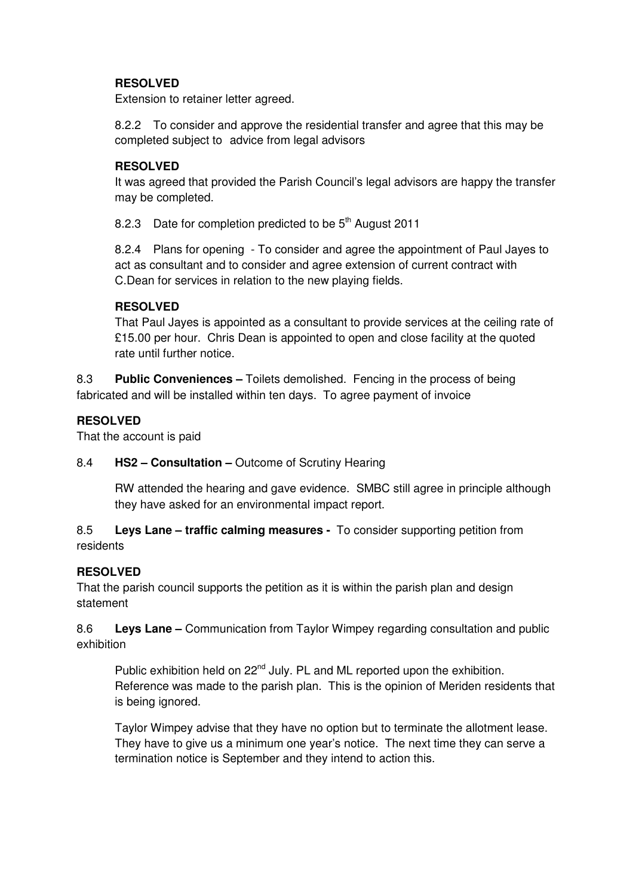# **RESOLVED**

Extension to retainer letter agreed.

8.2.2 To consider and approve the residential transfer and agree that this may be completed subject to advice from legal advisors

#### **RESOLVED**

It was agreed that provided the Parish Council's legal advisors are happy the transfer may be completed.

8.2.3 Date for completion predicted to be  $5<sup>th</sup>$  August 2011

 8.2.4 Plans for opening - To consider and agree the appointment of Paul Jayes to act as consultant and to consider and agree extension of current contract with C.Dean for services in relation to the new playing fields.

## **RESOLVED**

That Paul Jayes is appointed as a consultant to provide services at the ceiling rate of £15.00 per hour. Chris Dean is appointed to open and close facility at the quoted rate until further notice.

8.3 **Public Conveniences –** Toilets demolished. Fencing in the process of being fabricated and will be installed within ten days. To agree payment of invoice

## **RESOLVED**

That the account is paid

## 8.4 **HS2 – Consultation –** Outcome of Scrutiny Hearing

 RW attended the hearing and gave evidence. SMBC still agree in principle although they have asked for an environmental impact report.

8.5 **Leys Lane – traffic calming measures -** To consider supporting petition from residents

## **RESOLVED**

That the parish council supports the petition as it is within the parish plan and design statement

8.6 **Leys Lane –** Communication from Taylor Wimpey regarding consultation and public exhibition

Public exhibition held on 22<sup>nd</sup> July. PL and ML reported upon the exhibition. Reference was made to the parish plan. This is the opinion of Meriden residents that is being ignored.

 Taylor Wimpey advise that they have no option but to terminate the allotment lease. They have to give us a minimum one year's notice. The next time they can serve a termination notice is September and they intend to action this.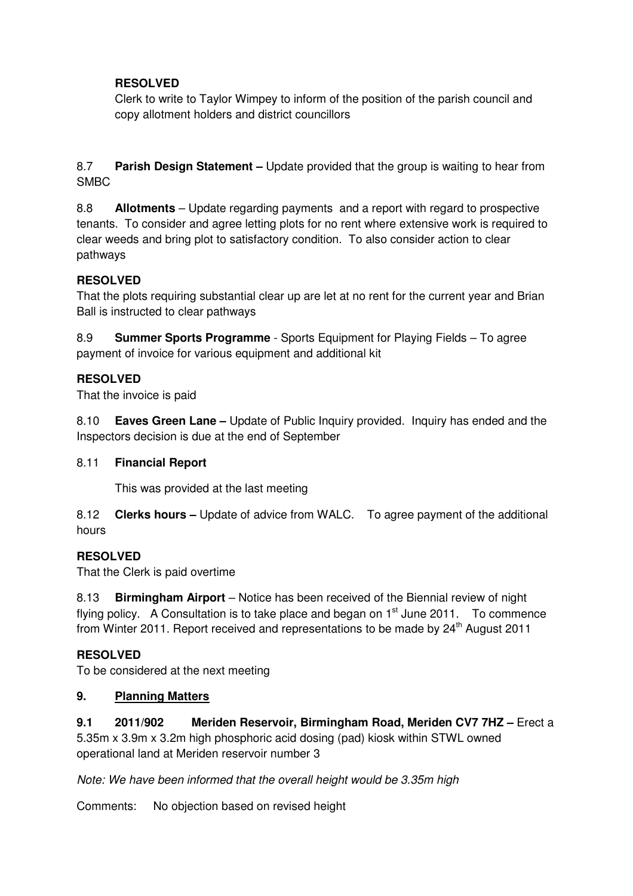# **RESOLVED**

Clerk to write to Taylor Wimpey to inform of the position of the parish council and copy allotment holders and district councillors

8.7 **Parish Design Statement –** Update provided that the group is waiting to hear from SMBC

8.8 **Allotments** – Update regarding payments and a report with regard to prospective tenants. To consider and agree letting plots for no rent where extensive work is required to clear weeds and bring plot to satisfactory condition. To also consider action to clear pathways

## **RESOLVED**

That the plots requiring substantial clear up are let at no rent for the current year and Brian Ball is instructed to clear pathways

8.9 **Summer Sports Programme** - Sports Equipment for Playing Fields – To agree payment of invoice for various equipment and additional kit

## **RESOLVED**

That the invoice is paid

8.10 **Eaves Green Lane –** Update of Public Inquiry provided. Inquiry has ended and the Inspectors decision is due at the end of September

## 8.11 **Financial Report**

This was provided at the last meeting

8.12 **Clerks hours –** Update of advice from WALC. To agree payment of the additional hours

## **RESOLVED**

That the Clerk is paid overtime

8.13 **Birmingham Airport** – Notice has been received of the Biennial review of night flying policy. A Consultation is to take place and began on  $1<sup>st</sup>$  June 2011. To commence from Winter 2011. Report received and representations to be made by  $24<sup>th</sup>$  August 2011

## **RESOLVED**

To be considered at the next meeting

## **9. Planning Matters**

**9.1 2011/902 Meriden Reservoir, Birmingham Road, Meriden CV7 7HZ –** Erect a 5.35m x 3.9m x 3.2m high phosphoric acid dosing (pad) kiosk within STWL owned operational land at Meriden reservoir number 3

Note: We have been informed that the overall height would be 3.35m high

Comments: No objection based on revised height